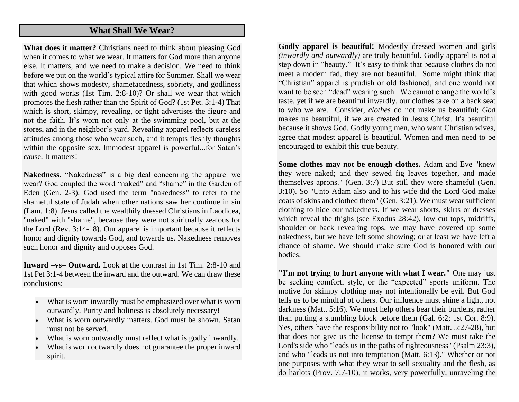## **What Shall We Wear?**

**What does it matter?** Christians need to think about pleasing God when it comes to what we wear. It matters for God more than anyone else. It matters, and we need to make a decision. We need to think before we put on the world's typical attire for Summer. Shall we wear that which shows modesty, shamefacedness, sobriety, and godliness with good works (1st Tim. 2:8-10)? Or shall we wear that which promotes the flesh rather than the Spirit of God? (1st Pet. 3:1-4) That which is short, skimpy, revealing, or tight advertises the figure and not the faith. It's worn not only at the swimming pool, but at the stores, and in the neighbor's yard. Revealing apparel reflects careless attitudes among those who wear such, and it tempts fleshly thoughts within the opposite sex. Immodest apparel is powerful...for Satan's cause. It matters!

**Nakedness.** "Nakedness" is a big deal concerning the apparel we wear? God coupled the word "naked" and "shame" in the Garden of Eden (Gen. 2-3). God used the term "nakedness" to refer to the shameful state of Judah when other nations saw her continue in sin (Lam. 1:8). Jesus called the wealthily dressed Christians in Laodicea, "naked" with "shame", because they were not spiritually zealous for the Lord (Rev. 3:14-18). Our apparel is important because it reflects honor and dignity towards God, and towards us. Nakedness removes such honor and dignity and opposes God.

**Inward –vs– Outward.** Look at the contrast in 1st Tim. 2:8-10 and 1st Pet 3:1-4 between the inward and the outward. We can draw these conclusions:

- What is worn inwardly must be emphasized over what is worn outwardly. Purity and holiness is absolutely necessary!
- What is worn outwardly matters. God must be shown. Satan must not be served.
- What is worn outwardly must reflect what is godly inwardly.
- What is worn outwardly does not guarantee the proper inward spirit.

**Godly apparel is beautiful!** Modestly dressed women and girls *(inwardly and outwardly)* are truly beautiful. Godly apparel is not a step down in "beauty." It's easy to think that because clothes do not meet a modern fad, they are not beautiful. Some might think that "Christian" apparel is prudish or old fashioned, and one would not want to be seen "dead" wearing such. We cannot change the world's taste, yet if we are beautiful inwardly, our clothes take on a back seat to who we are. Consider, *clothes* do not make us beautiful; *God* makes us beautiful, if we are created in Jesus Christ. It's beautiful because it shows God. Godly young men, who want Christian wives, agree that modest apparel is beautiful. Women and men need to be encouraged to exhibit this true beauty.

**Some clothes may not be enough clothes.** Adam and Eve "knew they were naked; and they sewed fig leaves together, and made themselves aprons." (Gen. 3:7) But still they were shameful (Gen. 3:10). So "Unto Adam also and to his wife did the Lord God make coats of skins and clothed them" (Gen. 3:21). We must wear sufficient clothing to hide our nakedness. If we wear shorts, skirts or dresses which reveal the thighs (see Exodus 28:42), low cut tops, midriffs, shoulder or back revealing tops, we may have covered up some nakedness, but we have left some showing; or at least we have left a chance of shame. We should make sure God is honored with our bodies.

**"I'm not trying to hurt anyone with what I wear."** One may just be seeking comfort, style, or the "expected" sports uniform. The motive for skimpy clothing may not intentionally be evil. But God tells us to be mindful of others. Our influence must shine a light, not darkness (Matt. 5:16). We must help others bear their burdens, rather than putting a stumbling block before them (Gal. 6:2; 1st Cor. 8:9). Yes, others have the responsibility not to "look" (Matt. 5:27-28), but that does not give us the license to tempt them? We must take the Lord's side who "leads us in the paths of righteousness" (Psalm 23:3), and who "leads us not into temptation (Matt. 6:13)." Whether or not one purposes with what they wear to sell sexuality and the flesh, as do harlots (Prov. 7:7-10), it works, very powerfully, unraveling the